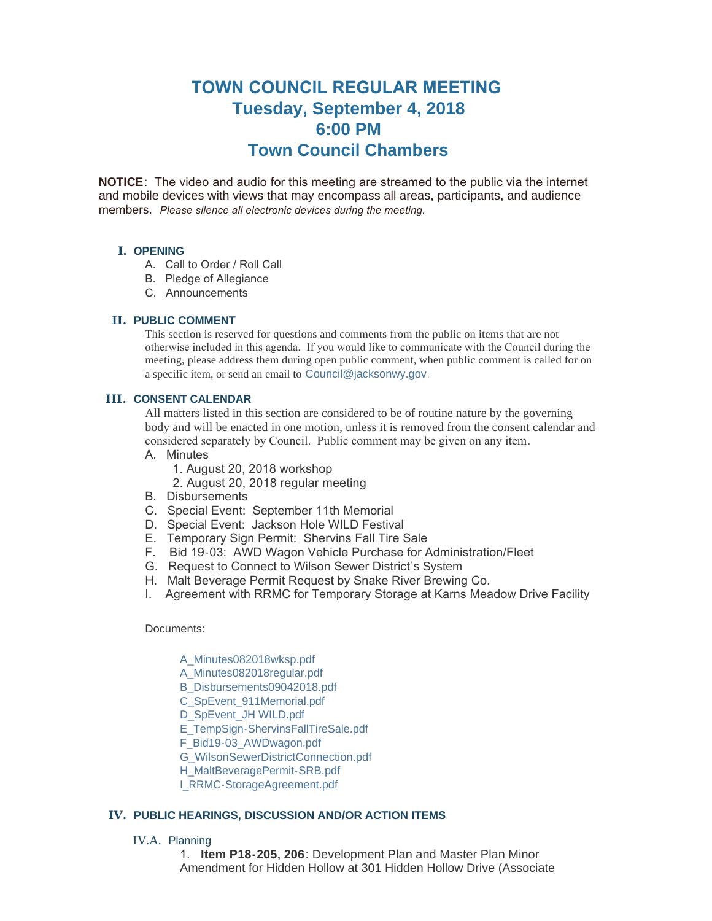# **TOWN COUNCIL REGULAR MEETING Tuesday, September 4, 2018 6:00 PM Town Council Chambers**

**NOTICE**: The video and audio for this meeting are streamed to the public via the internet and mobile devices with views that may encompass all areas, participants, and audience members. *Please silence all electronic devices during the meeting.* 

# **I. OPENING**

- A. Call to Order / Roll Call
- B. Pledge of Allegiance
- C. Announcements

# **PUBLIC COMMENT II.**

This section is reserved for questions and comments from the public on items that are not otherwise included in this agenda. If you would like to communicate with the Council during the meeting, please address them during open public comment, when public comment is called for on a specific item, or send an email to [Council@jacksonwy.gov](mailto:).

## **CONSENT CALENDAR III.**

All matters listed in this section are considered to be of routine nature by the governing body and will be enacted in one motion, unless it is removed from the consent calendar and considered separately by Council. Public comment may be given on any item.

- A. Minutes
	- 1. August 20, 2018 workshop
	- 2. August 20, 2018 regular meeting
- B. Disbursements
- C. Special Event: September 11th Memorial
- D. Special Event: Jackson Hole WILD Festival
- E. Temporary Sign Permit: Shervins Fall Tire Sale
- F. Bid 19-03: AWD Wagon Vehicle Purchase for Administration/Fleet
- G. Request to Connect to Wilson Sewer District's System
- H. Malt Beverage Permit Request by Snake River Brewing Co.
- I. Agreement with RRMC for Temporary Storage at Karns Meadow Drive Facility

### Documents:

- [A\\_Minutes082018wksp.pdf](https://www.jacksonwy.gov/AgendaCenter/ViewFile/Item/1528?fileID=4034)
- [A\\_Minutes082018regular.pdf](https://www.jacksonwy.gov/AgendaCenter/ViewFile/Item/1528?fileID=4033)
- [B\\_Disbursements09042018.pdf](https://www.jacksonwy.gov/AgendaCenter/ViewFile/Item/1528?fileID=4035)
- [C\\_SpEvent\\_911Memorial.pdf](https://www.jacksonwy.gov/AgendaCenter/ViewFile/Item/1528?fileID=4036)
- [D\\_SpEvent\\_JH WILD.pdf](https://www.jacksonwy.gov/AgendaCenter/ViewFile/Item/1528?fileID=4037)
- [E\\_TempSign-ShervinsFallTireSale.pdf](https://www.jacksonwy.gov/AgendaCenter/ViewFile/Item/1528?fileID=4038)
- [F\\_Bid19-03\\_AWDwagon.pdf](https://www.jacksonwy.gov/AgendaCenter/ViewFile/Item/1528?fileID=4039)
- [G\\_WilsonSewerDistrictConnection.pdf](https://www.jacksonwy.gov/AgendaCenter/ViewFile/Item/1528?fileID=4040)
- [H\\_MaltBeveragePermit-SRB.pdf](https://www.jacksonwy.gov/AgendaCenter/ViewFile/Item/1528?fileID=4032)
- [I\\_RRMC-StorageAgreement.pdf](https://www.jacksonwy.gov/AgendaCenter/ViewFile/Item/1528?fileID=4101)

## **PUBLIC HEARINGS, DISCUSSION AND/OR ACTION ITEMS IV.**

- IV.A. Planning
	- 1. **Item P18-205, 206**: Development Plan and Master Plan Minor Amendment for Hidden Hollow at 301 Hidden Hollow Drive (Associate